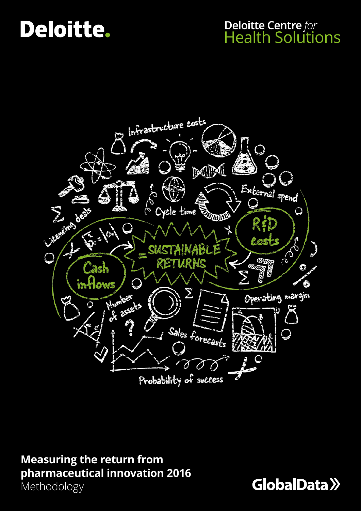# Deloitte.

### **Deloitte Centre for Health Solutions**



### **Measuring the return from pharmaceutical innovation 2016**

Methodology

GlobalData >>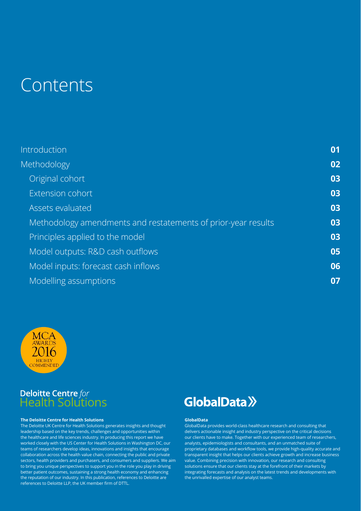### Contents

| <b>Introduction</b>                                           | 01 |
|---------------------------------------------------------------|----|
| <b>Methodology</b>                                            | 02 |
| Original cohort                                               | 03 |
| Extension cohort                                              | 03 |
| Assets evaluated                                              | 03 |
| Methodology amendments and restatements of prior-year results | 03 |
| Principles applied to the model                               | 03 |
| Model outputs: R&D cash outflows                              | 05 |
| Model inputs: forecast cash inflows                           | 06 |
| Modelling assumptions                                         | 07 |



## **Deloitte Centre** for<br>Health Solutions

#### **The Deloitte Centre for Health Solutions**

The Deloitte UK Centre for Health Solutions generates insights and thought leadership based on the key trends, challenges and opportunities within the healthcare and life sciences industry. In producing this report we have worked closely with the US Center for Health Solutions in Washington DC, our teams of researchers develop ideas, innovations and insights that encourage collaboration across the health value chain, connecting the public and private sectors, health providers and purchasers, and consumers and suppliers. We aim to bring you unique perspectives to support you in the role you play in driving better patient outcomes, sustaining a strong health economy and enhancing the reputation of our industry. In this publication, references to Deloitte are references to Deloitte LLP, the UK member firm of DTTL.

### **GlobalData** >>

#### **GlobalData**

GlobalData provides world-class healthcare research and consulting that delivers actionable insight and industry perspective on the critical decisions our clients have to make. Together with our experienced team of researchers, analysts, epidemiologists and consultants, and an unmatched suite of proprietary databases and workflow tools, we provide high-quality accurate and transparent insight that helps our clients achieve growth and increase business value. Combining precision with innovation, our research and consulting solutions ensure that our clients stay at the forefront of their markets by integrating forecasts and analysis on the latest trends and developments with the unrivalled expertise of our analyst teams.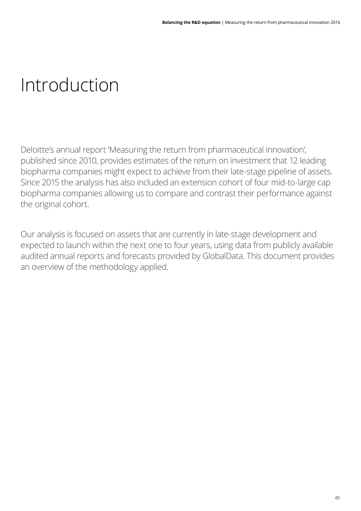# Introduction

Deloitte's annual report 'Measuring the return from pharmaceutical innovation', published since 2010, provides estimates of the return on investment that 12 leading biopharma companies might expect to achieve from their late-stage pipeline of assets. Since 2015 the analysis has also included an extension cohort of four mid-to-large cap biopharma companies allowing us to compare and contrast their performance against the original cohort.

Our analysis is focused on assets that are currently in late-stage development and expected to launch within the next one to four years, using data from publicly available audited annual reports and forecasts provided by GlobalData. This document provides an overview of the methodology applied.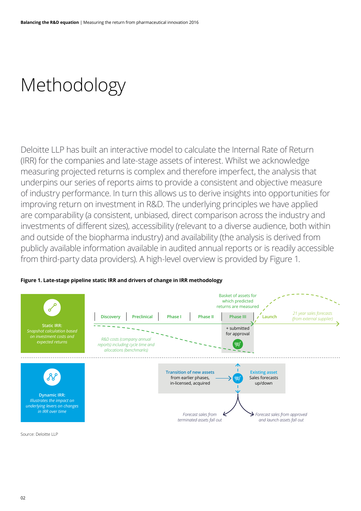## Methodology

Deloitte LLP has built an interactive model to calculate the Internal Rate of Return (IRR) for the companies and late-stage assets of interest. Whilst we acknowledge measuring projected returns is complex and therefore imperfect, the analysis that underpins our series of reports aims to provide a consistent and objective measure of industry performance. In turn this allows us to derive insights into opportunities for improving return on investment in R&D. The underlying principles we have applied are comparability (a consistent, unbiased, direct comparison across the industry and investments of different sizes), accessibility (relevant to a diverse audience, both within and outside of the biopharma industry) and availability (the analysis is derived from publicly available information available in audited annual reports or is readily accessible from third-party data providers). A high-level overview is provided by Figure 1.

#### **Figure 1. Late-stage pipeline static IRR and drivers of change in IRR methodology**



Source: Deloitte LLP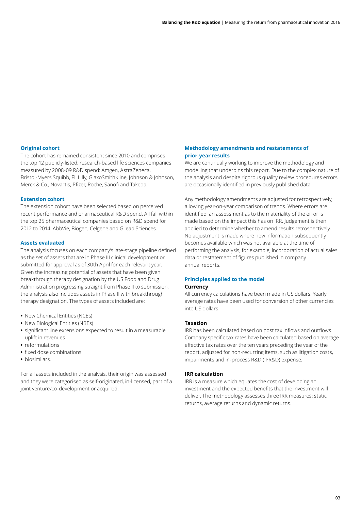#### **Original cohort**

The cohort has remained consistent since 2010 and comprises the top 12 publicly-listed, research-based life sciences companies measured by 2008-09 R&D spend: Amgen, AstraZeneca, Bristol-Myers Squibb, Eli Lilly, GlaxoSmithKline, Johnson & Johnson, Merck & Co., Novartis, Pfizer, Roche, Sanofi and Takeda.

#### **Extension cohort**

The extension cohort have been selected based on perceived recent performance and pharmaceutical R&D spend. All fall within the top 25 pharmaceutical companies based on R&D spend for 2012 to 2014: AbbVie, Biogen, Celgene and Gilead Sciences.

#### **Assets evaluated**

The analysis focuses on each company's late-stage pipeline defined as the set of assets that are in Phase III clinical development or submitted for approval as of 30th April for each relevant year. Given the increasing potential of assets that have been given breakthrough therapy designation by the US Food and Drug Administration progressing straight from Phase II to submission, the analysis also includes assets in Phase II with breakthrough therapy designation. The types of assets included are:

- **•** New Chemical Entities (NCEs)
- **•** New Biological Entities (NBEs)
- **•** significant line extensions expected to result in a measurable uplift in revenues
- **•** reformulations
- **•** fixed dose combinations
- **•** biosimilars.

For all assets included in the analysis, their origin was assessed and they were categorised as self-originated, in-licensed, part of a joint venture/co-development or acquired.

#### **Methodology amendments and restatements of prior-year results**

We are continually working to improve the methodology and modelling that underpins this report. Due to the complex nature of the analysis and despite rigorous quality review procedures errors are occasionally identified in previously published data.

Any methodology amendments are adjusted for retrospectively, allowing year-on-year comparison of trends. Where errors are identified, an assessment as to the materiality of the error is made based on the impact this has on IRR. Judgement is then applied to determine whether to amend results retrospectively. No adjustment is made where new information subsequently becomes available which was not available at the time of performing the analysis, for example, incorporation of actual sales data or restatement of figures published in company annual reports.

#### **Principles applied to the model Currency**

All currency calculations have been made in US dollars. Yearly average rates have been used for conversion of other currencies into US dollars.

#### **Taxation**

IRR has been calculated based on post tax inflows and outflows. Company specific tax rates have been calculated based on average effective tax rates over the ten years preceding the year of the report, adjusted for non-recurring items, such as litigation costs, impairments and in-process R&D (IPR&D) expense.

#### **IRR calculation**

IRR is a measure which equates the cost of developing an investment and the expected benefits that the investment will deliver. The methodology assesses three IRR measures: static returns, average returns and dynamic returns.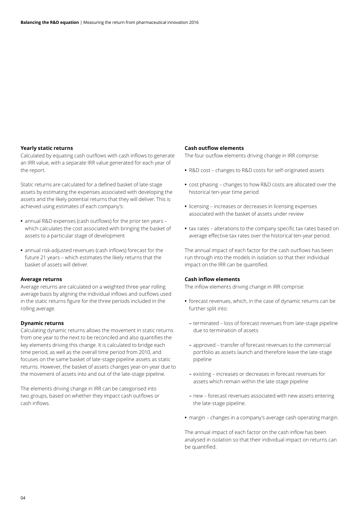#### **Yearly static returns**

Calculated by equating cash outflows with cash inflows to generate an IRR value, with a separate IRR value generated for each year of the report.

Static returns are calculated for a defined basket of late-stage assets by estimating the expenses associated with developing the assets and the likely potential returns that they will deliver. This is achieved using estimates of each company's:

- **•** annual R&D expenses (cash outflows) for the prior ten years which calculates the cost associated with bringing the basket of assets to a particular stage of development
- **•** annual risk-adjusted revenues (cash inflows) forecast for the future 21 years – which estimates the likely returns that the basket of assets will deliver.

#### **Average returns**

Average returns are calculated on a weighted three-year rolling average basis by aligning the individual inflows and outflows used in the static returns figure for the three periods included in the rolling average.

#### **Dynamic returns**

Calculating dynamic returns allows the movement in static returns from one year to the next to be reconciled and also quantifies the key elements driving this change. It is calculated to bridge each time period, as well as the overall time period from 2010, and focuses on the same basket of late-stage pipeline assets as static returns. However, the basket of assets changes year-on-year due to the movement of assets into and out of the late-stage pipeline.

The elements driving change in IRR can be categorised into two groups, based on whether they impact cash outflows or cash inflows.

#### **Cash outflow elements**

The four outflow elements driving change in IRR comprise:

- **•** R&D cost changes to R&D costs for self-originated assets
- **•** cost phasing changes to how R&D costs are allocated over the historical ten-year time period
- **•** licensing increases or decreases in licensing expenses associated with the basket of assets under review
- **•** tax rates alterations to the company specific tax rates based on average effective tax rates over the historical ten-year period.

The annual impact of each factor for the cash outflows has been run through into the models in isolation so that their individual impact on the IRR can be quantified.

#### **Cash inflow elements**

The inflow elements driving change in IRR comprise:

- **•** forecast revenues, which, in the case of dynamic returns can be further split into:
	- terminated loss of forecast revenues from late-stage pipeline due to termination of assets
	- approved transfer of forecast revenues to the commercial portfolio as assets launch and therefore leave the late-stage pipeline
	- existing increases or decreases in forecast revenues for assets which remain within the late-stage pipeline
	- new forecast revenues associated with new assets entering the late-stage pipeline.
- **•** margin changes in a company's average cash operating margin.

The annual impact of each factor on the cash inflow has been analysed in isolation so that their individual impact on returns can be quantified.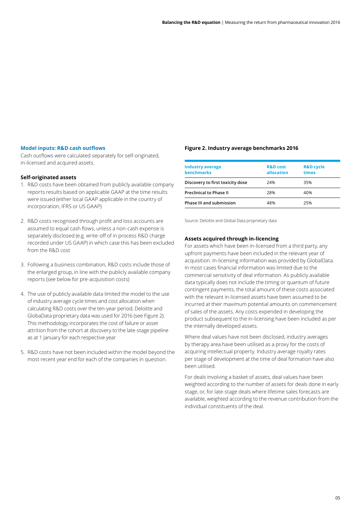#### **Model inputs: R&D cash outflows**

Cash outflows were calculated separately for self-originated, in-licensed and acquired assets.

#### **Self-originated assets**

- 1. R&D costs have been obtained from publicly available company reports results based on applicable GAAP at the time results were issued (either local GAAP applicable in the country of incorporation, IFRS or US GAAP)
- 2. R&D costs recognised through profit and loss accounts are assumed to equal cash flows, unless a non-cash expense is separately disclosed (e.g. write-off of in process R&D charge recorded under US GAAP) in which case this has been excluded from the R&D cost
- 3. Following a business combination, R&D costs include those of the enlarged group, in line with the publicly available company reports (see below for pre-acquisition costs)
- 4. The use of publicly available data limited the model to the use of industry average cycle times and cost allocation when calculating R&D costs over the ten-year period; Deloitte and GlobaData proprietary data was used for 2016 (see Figure 2). This methodology incorporates the cost of failure or asset attrition from the cohort at discovery to the late-stage pipeline as at 1 January for each respective year
- 5. R&D costs have not been included within the model beyond the most recent year end for each of the companies in question.

#### **Figure 2. Industry average benchmarks 2016**

| <b>Industry average</b><br><b>benchmarks</b> | <b>R&amp;D</b> cost<br>allocation | <b>R&amp;D</b> cycle<br>times |
|----------------------------------------------|-----------------------------------|-------------------------------|
| Discovery to first toxicity dose             | 24%                               | 35%                           |
| <b>Preclinical to Phase II</b>               | 28%                               | 40%                           |
| <b>Phase III and submission</b>              | 48%                               | 25%                           |

Source: Deloitte and Global Data proprietary data

#### **Assets acquired through in-licencing**

For assets which have been in-licensed from a third party, any upfront payments have been included in the relevant year of acquisition. In-licensing information was provided by GlobalData. In most cases financial information was limited due to the commercial sensitivity of deal information. As publicly available data typically does not include the timing or quantum of future contingent payments, the total amount of these costs associated with the relevant in-licensed assets have been assumed to be incurred at their maximum potential amounts on commencement of sales of the assets. Any costs expended in developing the product subsequent to the in-licensing have been included as per the internally developed assets.

Where deal values have not been disclosed, industry averages by therapy area have been utilised as a proxy for the costs of acquiring intellectual property. Industry average royalty rates per stage of development at the time of deal formation have also been utilised.

For deals involving a basket of assets, deal values have been weighted according to the number of assets for deals done in early stage, or, for late-stage deals where lifetime sales forecasts are available, weighted according to the revenue contribution from the individual constituents of the deal.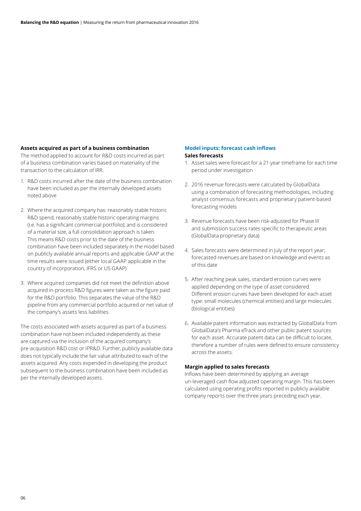#### **Assets acquired as part of a business combination**

The method applied to account for R&D costs incurred as part of a business combination varies based on materiality of the transaction to the calculation of IRR.

- 1. R&D costs incurred after the date of the business combination have been included as per the internally developed assets noted above
- 2. Where the acquired company has: reasonably stable historic R&D spend; reasonably stable historic operating margins (i.e. has a significant commercial portfolio); and is considered of a material size, a full consolidation approach is taken. This means R&D costs prior to the date of the business combination have been included separately in the model based on publicly available annual reports and applicable GAAP at the time results were issued (either local GAAP applicable in the country of incorporation, IFRS or US GAAP)
- 3. Where acquired companies did not meet the definition above acquired in-process R&D figures were taken as the figure paid for the R&D portfolio. This separates the value of the R&D pipeline from any commercial portfolio acquired or net value of the company's assets less liabilities.

The costs associated with assets acquired as part of a business combination have not been included independently as these are captured via the inclusion of the acquired company's pre-acquisition R&D cost or IPR&D. Further, publicly available data does not typically include the fair value attributed to each of the assets acquired. Any costs expended in developing the product subsequent to the business combination have been included as per the internally developed assets.

#### **Model inputs: forecast cash inflows Sales forecasts**

- 1. Asset sales were forecast for a 21-year timeframe for each time period under investigation
- 2. 2016 revenue forecasts were calculated by GlobalData using a combination of forecasting methodologies, including analyst consensus forecasts and proprietary patient-based forecasting models
- 3. Revenue forecasts have been risk-adjusted for Phase III and submission success rates specific to therapeutic areas (GlobalData proprietary data)
- 4. Sales forecasts were determined in July of the report year; forecasted revenues are based on knowledge and events as of this date
- 5. After reaching peak sales, standard erosion curves were applied depending on the type of asset considered. Different erosion curves have been developed for each asset type: small molecules (chemical entities) and large molecules (biological entities)
- 6. Available patent information was extracted by GlobalData from GlobalData's Pharma eTrack and other public patent sources for each asset. Accurate patent data can be difficult to locate, therefore a number of rules were defined to ensure consistency across the assets.

#### **Margin applied to sales forecasts**

Inflows have been determined by applying an average un-leveraged cash flow adjusted operating margin. This has been calculated using operating profits reported in publicly available company reports over the three years preceding each year.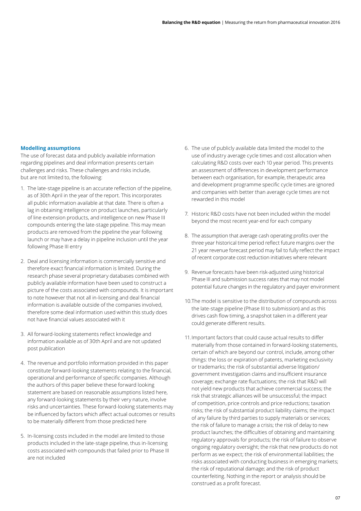#### **Modelling assumptions**

The use of forecast data and publicly available information regarding pipelines and deal information presents certain challenges and risks. These challenges and risks include, but are not limited to, the following:

- 1. The late-stage pipeline is an accurate reflection of the pipeline, as of 30th April in the year of the report. This incorporates all public information available at that date. There is often a lag in obtaining intelligence on product launches, particularly of line extension products, and intelligence on new Phase III compounds entering the late-stage pipeline. This may mean products are removed from the pipeline the year following launch or may have a delay in pipeline inclusion until the year following Phase III entry
- 2. Deal and licensing information is commercially sensitive and therefore exact financial information is limited. During the research phase several proprietary databases combined with publicly available information have been used to construct a picture of the costs associated with compounds. It is important to note however that not all in-licensing and deal financial information is available outside of the companies involved, therefore some deal information used within this study does not have financial values associated with it
- 3. All forward-looking statements reflect knowledge and information available as of 30th April and are not updated post publication
- 4. The revenue and portfolio information provided in this paper constitute forward-looking statements relating to the financial, operational and performance of specific companies. Although the authors of this paper believe these forward looking statement are based on reasonable assumptions listed here, any forward-looking statements by their very nature, involve risks and uncertainties. These forward-looking statements may be influenced by factors which affect actual outcomes or results to be materially different from those predicted here
- 5. In-licensing costs included in the model are limited to those products included in the late-stage pipeline, thus in-licensing costs associated with compounds that failed prior to Phase III are not included
- 6. The use of publicly available data limited the model to the use of industry average cycle times and cost allocation when calculating R&D costs over each 10 year period. This prevents an assessment of differences in development performance between each organisation, for example, therapeutic area and development programme specific cycle times are ignored and companies with better than average cycle times are not rewarded in this model
- 7. Historic R&D costs have not been included within the model beyond the most recent year-end for each company
- 8. The assumption that average cash operating profits over the three year historical time period reflect future margins over the 21 year revenue forecast period may fail to fully reflect the impact of recent corporate cost reduction initiatives where relevant
- 9. Revenue forecasts have been risk-adjusted using historical Phase III and submission success rates that may not model potential future changes in the regulatory and payer environment
- 10.The model is sensitive to the distribution of compounds across the late-stage pipeline (Phase III to submission) and as this drives cash flow timing, a snapshot taken in a different year could generate different results.
- 11.Important factors that could cause actual results to differ materially from those contained in forward-looking statements, certain of which are beyond our control, include, among other things: the loss or expiration of patents, marketing exclusivity or trademarks; the risk of substantial adverse litigation/ government investigation claims and insufficient insurance coverage; exchange rate fluctuations; the risk that R&D will not yield new products that achieve commercial success; the risk that strategic alliances will be unsuccessful; the impact of competition, price controls and price reductions; taxation risks; the risk of substantial product liability claims; the impact of any failure by third parties to supply materials or services; the risk of failure to manage a crisis; the risk of delay to new product launches; the difficulties of obtaining and maintaining regulatory approvals for products; the risk of failure to observe ongoing regulatory oversight; the risk that new products do not perform as we expect; the risk of environmental liabilities; the risks associated with conducting business in emerging markets; the risk of reputational damage; and the risk of product counterfeiting. Nothing in the report or analysis should be construed as a profit forecast.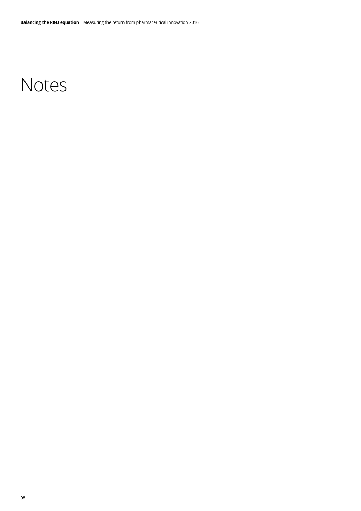### Notes